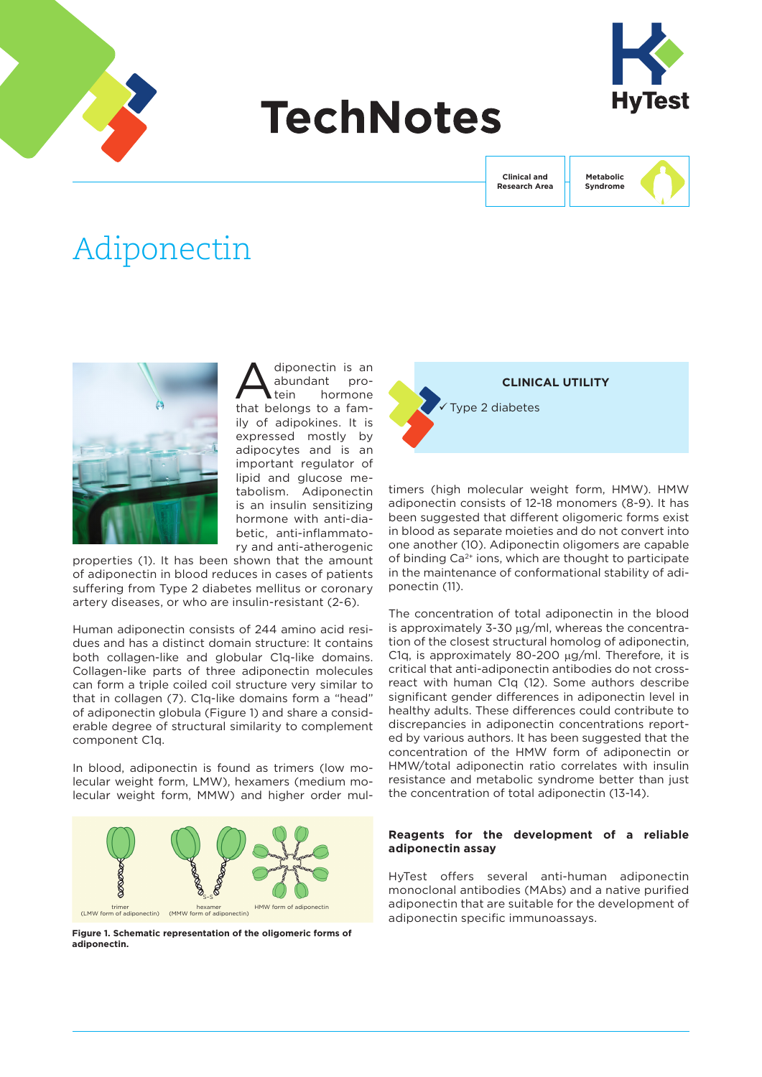

# **TechNotes**



**Clinical and Research Area** **Metabolic Syndrome**

# Adiponectin



diponectin is an<br>abundant pro-<br>tein hormone abundant hormone that belongs to a family of adipokines. It is expressed mostly by adipocytes and is an important regulator of lipid and glucose metabolism. Adiponectin is an insulin sensitizing hormone with anti-diabetic, anti-inflammatory and anti-atherogenic

properties (1). It has been shown that the amount of adiponectin in blood reduces in cases of patients suffering from Type 2 diabetes mellitus or coronary artery diseases, or who are insulin-resistant (2-6).

Human adiponectin consists of 244 amino acid residues and has a distinct domain structure: It contains both collagen-like and globular C1q-like domains. Collagen-like parts of three adiponectin molecules can form a triple coiled coil structure very similar to that in collagen (7). C1q-like domains form a "head" of adiponectin globula (Figure 1) and share a considerable degree of structural similarity to complement component C1q.

In blood, adiponectin is found as trimers (low molecular weight form, LMW), hexamers (medium molecular weight form, MMW) and higher order mul-



**Figure 1. Schematic representation of the oligomeric forms of adiponectin.** 



timers (high molecular weight form, HMW). HMW adiponectin consists of 12-18 monomers (8-9). It has been suggested that different oligomeric forms exist in blood as separate moieties and do not convert into one another (10). Adiponectin oligomers are capable of binding  $Ca<sup>2+</sup>$  ions, which are thought to participate in the maintenance of conformational stability of adiponectin (11).

The concentration of total adiponectin in the blood is approximately 3-30 µg/ml, whereas the concentration of the closest structural homolog of adiponectin, C1q, is approximately 80-200  $\mu$ g/ml. Therefore, it is critical that anti-adiponectin antibodies do not crossreact with human C1q (12). Some authors describe significant gender differences in adiponectin level in healthy adults. These differences could contribute to discrepancies in adiponectin concentrations reported by various authors. It has been suggested that the concentration of the HMW form of adiponectin or HMW/total adiponectin ratio correlates with insulin resistance and metabolic syndrome better than just the concentration of total adiponectin (13-14).

### **Reagents for the development of a reliable adiponectin assay**

HyTest offers several anti-human adiponectin monoclonal antibodies (MAbs) and a native purified adiponectin that are suitable for the development of adiponectin specific immunoassays.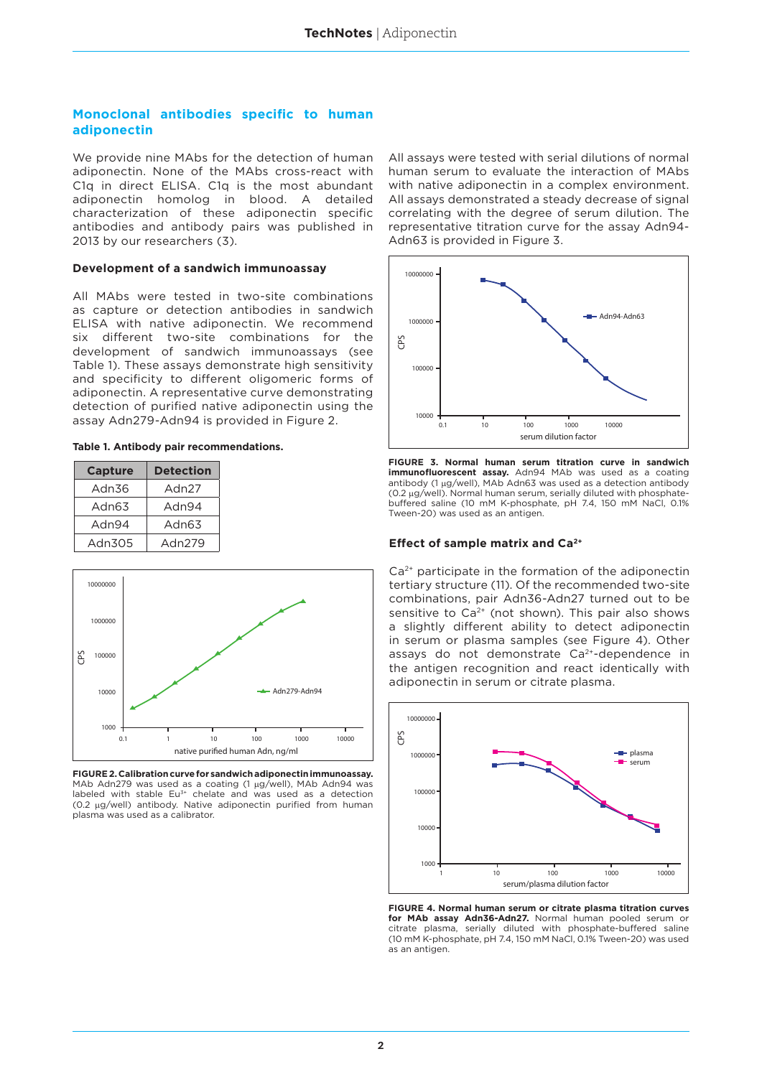#### **Monoclonal antibodies specific to human adiponectin**

We provide nine MAbs for the detection of human adiponectin. None of the MAbs cross-react with C1q in direct ELISA. C1q is the most abundant adiponectin homolog in blood. A detailed characterization of these adiponectin specific antibodies and antibody pairs was published in 2013 by our researchers (3).

#### **Development of a sandwich immunoassay**

All MAbs were tested in two-site combinations as capture or detection antibodies in sandwich ELISA with native adiponectin. We recommend six different two-site combinations for the development of sandwich immunoassays (see Table 1). These assays demonstrate high sensitivity and specificity to different oligomeric forms of adiponectin. A representative curve demonstrating detection of purified native adiponectin using the assay Adn279-Adn94 is provided in Figure 2.

#### **Table 1. Antibody pair recommendations.**

| <b>Capture</b> | <b>Detection</b> |  |  |
|----------------|------------------|--|--|
| Adn36          | Adn27            |  |  |
| Adn63          | Adn94            |  |  |
| Adn94          | Adn63            |  |  |
| Adn305         | Adn279           |  |  |



**FIGURE 2. Calibration curve for sandwich adiponectin immunoassay.**  MAb Adn279 was used as a coating (1 µg/well), MAb Adn94 was labeled with stable Eu<sup>3+</sup> chelate and was used as a detection (0.2 µg/well) antibody. Native adiponectin purified from human plasma was used as a calibrator.

All assays were tested with serial dilutions of normal human serum to evaluate the interaction of MAbs with native adiponectin in a complex environment. All assays demonstrated a steady decrease of signal correlating with the degree of serum dilution. The representative titration curve for the assay Adn94- Adn63 is provided in Figure 3.



**FIGURE 3. Normal human serum titration curve in sandwich immunofluorescent assay.** Adn94 MAb was used as a coating antibody (1 µg/well), MAb Adn63 was used as a detection antibody (0.2 µg/well). Normal human serum, serially diluted with phosphatebuffered saline (10 mM K-phosphate, pH 7.4, 150 mM NaCl, 0.1% Tween-20) was used as an antigen.

#### **Effect of sample matrix and Ca2+**

Ca2+ participate in the formation of the adiponectin tertiary structure (11). Of the recommended two-site combinations, pair Adn36-Adn27 turned out to be sensitive to  $Ca<sup>2+</sup>$  (not shown). This pair also shows a slightly different ability to detect adiponectin in serum or plasma samples (see Figure 4). Other assays do not demonstrate Ca2+-dependence in the antigen recognition and react identically with and the mumber of the antigen in serum dilution factor<br> **FIGURE 3. Normal human serum titration curve the serum dilution factor<br>
in mumber or cannot and the plasma of the serum of the serue of the serue of the series of t** 



**FIGURE 4. Normal human serum or citrate plasma titration curves for MAb assay Adn36-Adn27.** Normal human pooled serum or citrate plasma, serially diluted with phosphate-buffered saline (10 mM K-phosphate, pH 7.4, 150 mM NaCl, 0.1% Tween-20) was used as an antigen.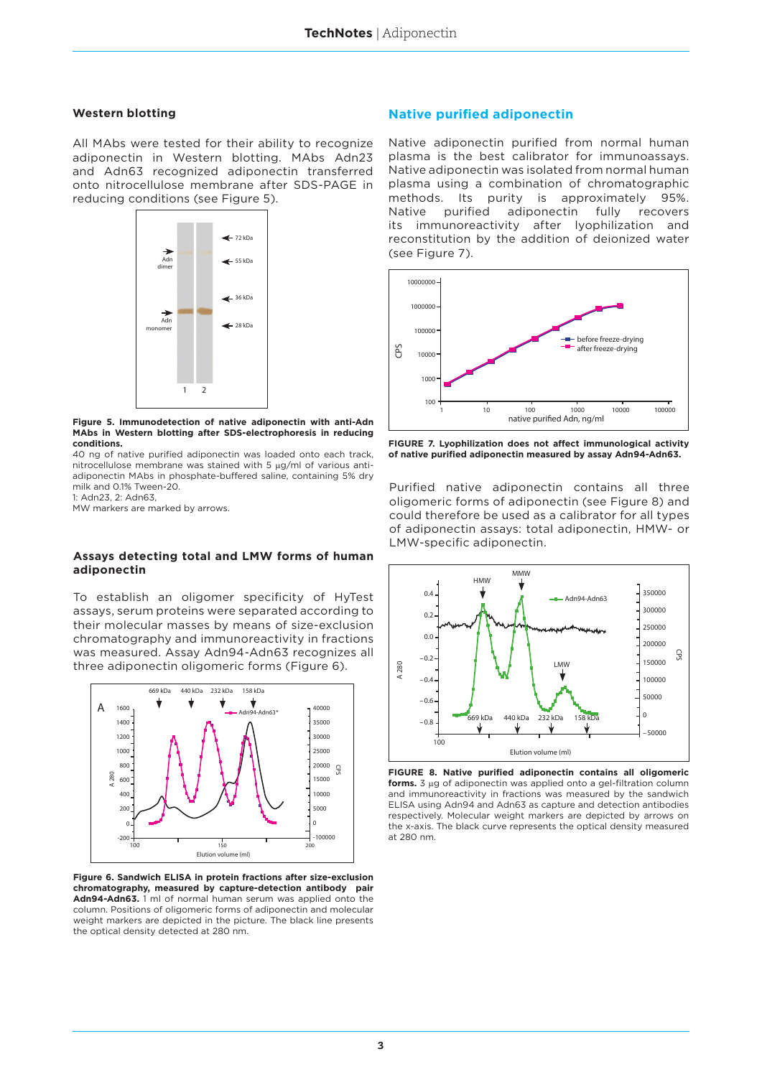#### **Western blotting**

All MAbs were tested for their ability to recognize adiponectin in Western blotting. MAbs Adn23 and Adn63 recognized adiponectin transferred onto nitrocellulose membrane after SDS-PAGE in reducing conditions (see Figure 5).



**Figure 5. Immunodetection of native adiponectin with anti-Adn MAbs in Western blotting after SDS-electrophoresis in reducing conditions.** 

40 ng of native purified adiponectin was loaded onto each track, nitrocellulose membrane was stained with 5 µg/ml of various antiadiponectin MAbs in phosphate-buffered saline, containing 5% dry milk and 0.1% Tween-20.

1: Adn23, 2: Adn63,

MW markers are marked by arrows.

#### **Assays detecting total and LMW forms of human adiponectin**

To establish an oligomer specificity of HyTest assays, serum proteins were separated according to their molecular masses by means of size-exclusion chromatography and immunoreactivity in fractions was measured. Assay Adn94-Adn63 recognizes all three adiponectin oligomeric forms (Figure 6).



**Figure 6. Sandwich ELISA in protein fractions after size-exclusion chromatography, measured by capture-detection antibody pair Adn94-Adn63.** 1 ml of normal human serum was applied onto the column. Positions of oligomeric forms of adiponectin and molecular weight markers are depicted in the picture. The black line presents the optical density detected at 280 nm.

#### **Native purified adiponectin**

Native adiponectin purified from normal human plasma is the best calibrator for immunoassays. Native adiponectin was isolated from normal human plasma using a combination of chromatographic methods. Its purity is approximately 95%. Native purified adiponectin fully recovers its immunoreactivity after lyophilization and reconstitution by the addition of deionized water (see Figure 7).



**FIGURE 7. Lyophilization does not affect immunological activity of native purified adiponectin measured by assay Adn94-Adn63.** 

Purified native adiponectin contains all three oligomeric forms of adiponectin (see Figure 8) and could therefore be used as a calibrator for all types of adiponectin assays: total adiponectin, HMW- or LMW-specific adiponectin.



**forms.** 3 μg of adiponectin was applied onto a gel-filtration column **FIGURE 8. Native purified adiponectin contains all oligomeric**  and immunoreactivity in fractions was measured by the sandwich ELISA using Adn94 and Adn63 as capture and detection antibodies respectively. Molecular weight markers are depicted by arrows on the x-axis. The black curve represents the optical density measured at 280 nm.